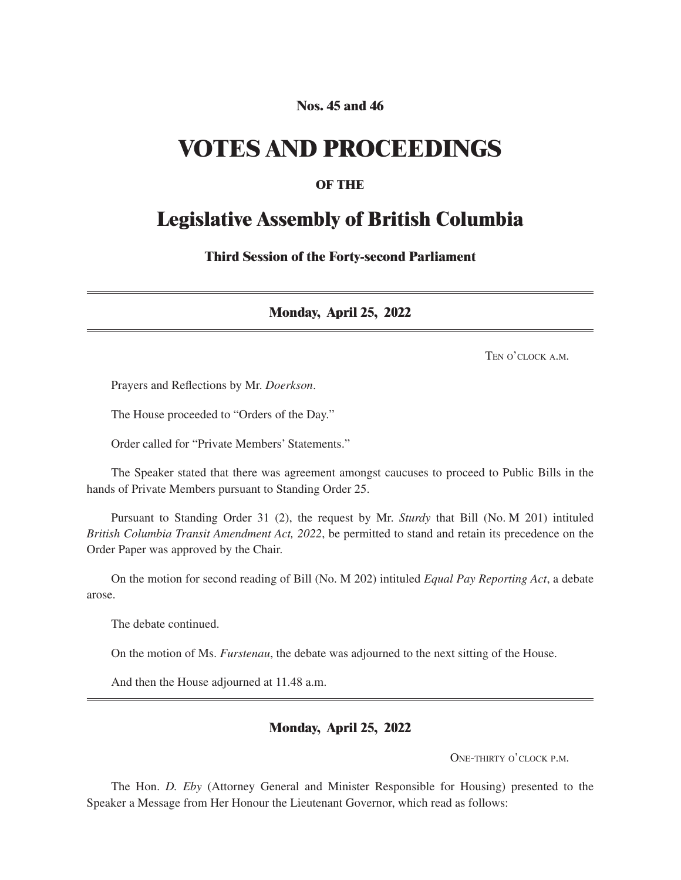#### **Nos. 45 and 46**

## **VOTES AND PROCEEDINGS**

#### **OF THE**

### **Legislative Assembly of British Columbia**

**Third Session of the Forty-second Parliament**

**Monday, April 25, 2022**

Ten o'clock a m

Prayers and Reflections by Mr. *Doerkson*.

The House proceeded to "Orders of the Day."

Order called for "Private Members' Statements."

The Speaker stated that there was agreement amongst caucuses to proceed to Public Bills in the hands of Private Members pursuant to Standing Order 25.

Pursuant to Standing Order 31 (2), the request by Mr. *Sturdy* that Bill (No. M 201) intituled *British Columbia Transit Amendment Act, 2022*, be permitted to stand and retain its precedence on the Order Paper was approved by the Chair.

On the motion for second reading of Bill (No. M 202) intituled *Equal Pay Reporting Act*, a debate arose.

The debate continued.

On the motion of Ms. *Furstenau*, the debate was adjourned to the next sitting of the House.

And then the House adjourned at 11.48 a.m.

#### **Monday, April 25, 2022**

One-thirty o'clock p.m.

The Hon. *D. Eby* (Attorney General and Minister Responsible for Housing) presented to the Speaker a Message from Her Honour the Lieutenant Governor, which read as follows: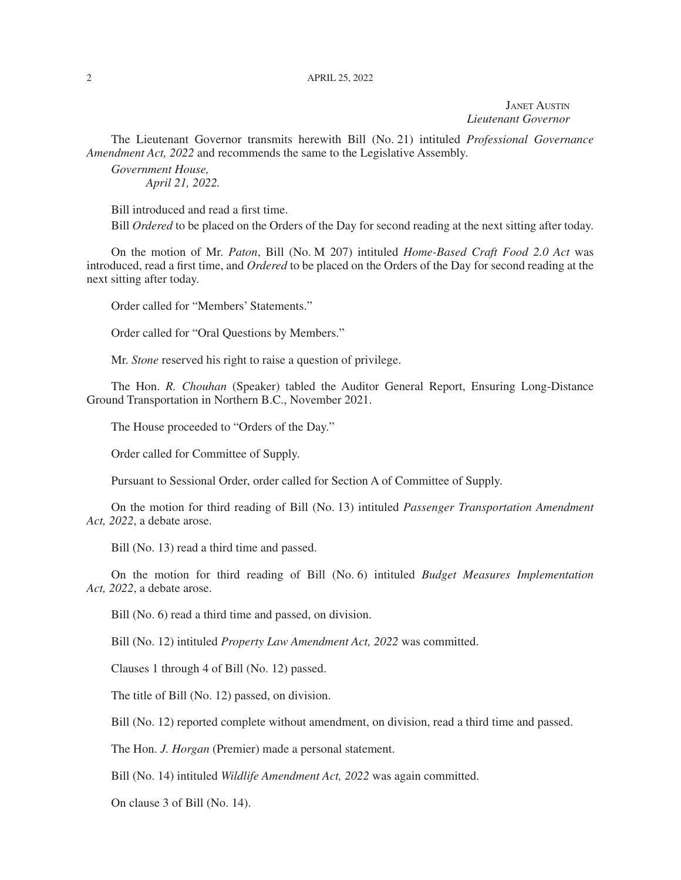Janet Austin *Lieutenant Governor*

The Lieutenant Governor transmits herewith Bill (No. 21) intituled *Professional Governance Amendment Act, 2022* and recommends the same to the Legislative Assembly.

*Government House, April 21, 2022.*

Bill introduced and read a first time.

Bill *Ordered* to be placed on the Orders of the Day for second reading at the next sitting after today.

On the motion of Mr. *Paton*, Bill (No. M 207) intituled *Home-Based Craft Food 2.0 Act* was introduced, read a first time, and *Ordered* to be placed on the Orders of the Day for second reading at the next sitting after today.

Order called for "Members' Statements."

Order called for "Oral Questions by Members."

Mr. *Stone* reserved his right to raise a question of privilege.

The Hon. *R. Chouhan* (Speaker) tabled the Auditor General Report, Ensuring Long-Distance Ground Transportation in Northern B.C., November 2021.

The House proceeded to "Orders of the Day."

Order called for Committee of Supply.

Pursuant to Sessional Order, order called for Section A of Committee of Supply.

On the motion for third reading of Bill (No. 13) intituled *Passenger Transportation Amendment Act, 2022*, a debate arose.

Bill (No. 13) read a third time and passed.

On the motion for third reading of Bill (No. 6) intituled *Budget Measures Implementation Act, 2022*, a debate arose.

Bill (No. 6) read a third time and passed, on division.

Bill (No. 12) intituled *Property Law Amendment Act, 2022* was committed.

Clauses 1 through 4 of Bill (No. 12) passed.

The title of Bill (No. 12) passed, on division.

Bill (No. 12) reported complete without amendment, on division, read a third time and passed.

The Hon. *J. Horgan* (Premier) made a personal statement.

Bill (No. 14) intituled *Wildlife Amendment Act, 2022* was again committed.

On clause 3 of Bill (No. 14).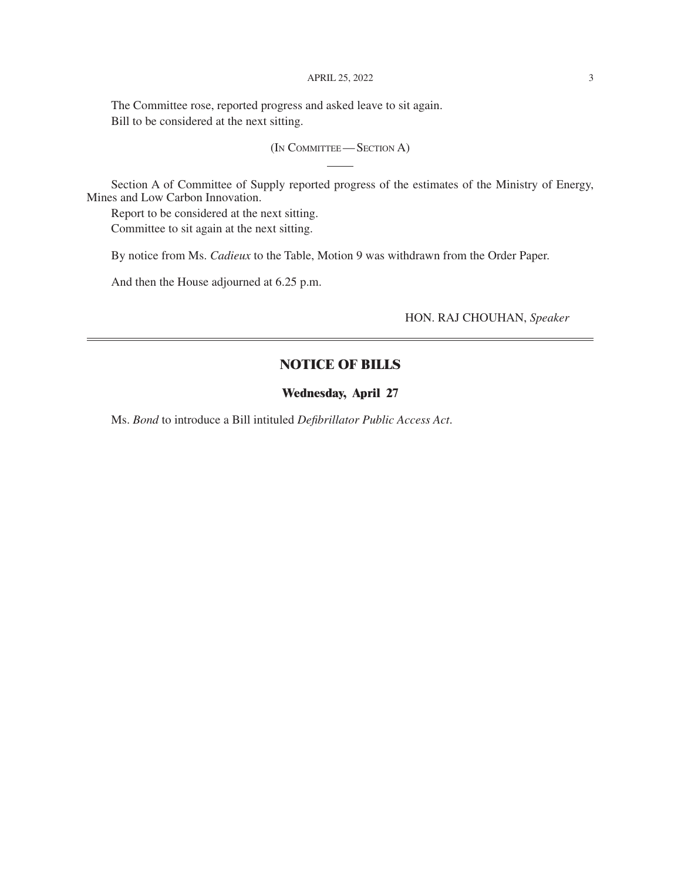#### APRIL 25, 2022 3

The Committee rose, reported progress and asked leave to sit again. Bill to be considered at the next sitting.

(In Committee— Section A)

Section A of Committee of Supply reported progress of the estimates of the Ministry of Energy, Mines and Low Carbon Innovation.

Report to be considered at the next sitting. Committee to sit again at the next sitting.

By notice from Ms. *Cadieux* to the Table, Motion 9 was withdrawn from the Order Paper.

And then the House adjourned at 6.25 p.m.

HON. RAJ CHOUHAN, *Speaker*

#### **NOTICE OF BILLS**

#### **Wednesday, April 27**

Ms. *Bond* to introduce a Bill intituled *Defibrillator Public Access Act*.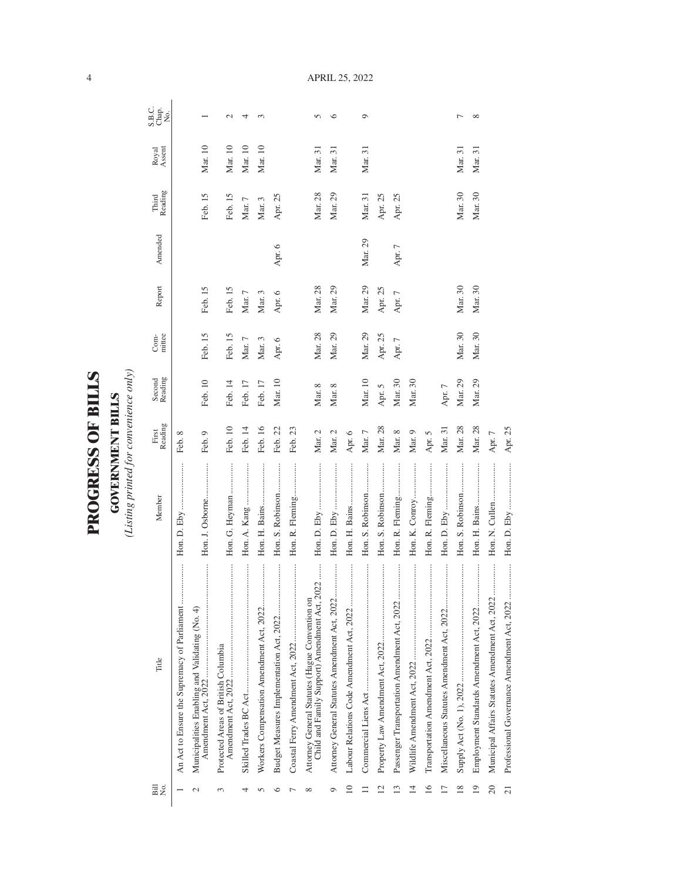| ١             |
|---------------|
|               |
| r<br>F        |
|               |
|               |
| $\frac{1}{2}$ |
|               |
|               |
| くこにく          |
|               |
|               |
|               |
|               |
|               |

**GOVERNMENT BILLS**<br>(Listing printed for convenience only) *(Listing printed for convenience only)*

**GOVERNMENT BILLS**

| Bill<br>Σó,     | Title                                                                                           | Member           | Reading<br>First | Second<br>Reading | mittee<br>Com- | Report     | Amended  | Reading<br>Third | Royal<br>Assent | S.B.C.<br>Chap.<br>No. |
|-----------------|-------------------------------------------------------------------------------------------------|------------------|------------------|-------------------|----------------|------------|----------|------------------|-----------------|------------------------|
|                 |                                                                                                 |                  | Feb. 8           |                   |                |            |          |                  |                 |                        |
|                 | <br>Municipalities Enabling and Validating (No. 4)                                              | Hon. J. Osborne  | Feb. 9           | Feb. 10           | Feb. 15        | Feb. 15    |          | Feb. 15          | Mar. 10         |                        |
| $\sim$          | Protected Areas of British Columbia                                                             | Hon. G. Heyman   | Feb. 10          | Feb. 14           | Feb. 15        | Feb. 15    |          | Feb. 15          | Mar. 10         | $\mathcal{L}$          |
| 4               |                                                                                                 |                  | Feb. 14          | Feb. 17           | Mar. $7\,$     | Mar. $7\,$ |          | Mar. 7           | Mar. 10         | 4                      |
|                 |                                                                                                 |                  | Feb. 16          | Feb. 17           | Mar. 3         | Mar. 3     |          | Mar. 3           | Mar. 10         | $\sim$                 |
| ⊂               |                                                                                                 | Hon. S. Robinson | Feb. 22          | Mar. 10           | Apr. 6         | Apr. 6     | Apr. 6   | Apr. 25          |                 |                        |
|                 |                                                                                                 | Hon. R. Fleming  | Feb. 23          |                   |                |            |          |                  |                 |                        |
| ∞               | Child and Family Support) Amendment Act, 2022<br>Attorney General Statutes (Hague Convention on |                  | Mar. $2$         | Mar. 8            | Mar. 28        | Mar. 28    |          | Mar. 28          | Mar. 31         | 5                      |
| ᡋ               |                                                                                                 |                  | Mar. 2           | Mar. 8            | Mar. 29        | Mar. 29    |          | Mar. 29          | Mar. 31         | ৩                      |
| $\approx$       |                                                                                                 |                  | Apr. 6           |                   |                |            |          |                  |                 |                        |
|                 |                                                                                                 | Hon. S. Robinson | Mar. $7$         | Mar. 10           | Mar. 29        | Mar. 29    | Mar. 29  | Mar. 31          | Mar. 31         | $\circ$                |
| $\overline{12}$ |                                                                                                 | Hon. S. Robinson | Mar. 28          | Apr. 5            | Apr. 25        | Apr. 25    |          | Apr. 25          |                 |                        |
| ്               |                                                                                                 | Hon. R. Fleming  | Mar. 8           | Mar. 30           | Apr. 7         | Apr. 7     | Apr. $7$ | Apr. 25          |                 |                        |
| $\overline{14}$ |                                                                                                 |                  | Mar. 9           | Mar. 30           |                |            |          |                  |                 |                        |
| $\overline{16}$ |                                                                                                 | Hon. R. Fleming  | Apr. 5           |                   |                |            |          |                  |                 |                        |
|                 |                                                                                                 |                  | Mar. 31          | Apr. $7$          |                |            |          |                  |                 |                        |
| $\frac{8}{2}$   |                                                                                                 | Hon. S. Robinson | Mar. 28          | Mar. 29           | Mar. 30        | Mar. 30    |          | Mar. 30          | Mar. 31         |                        |
| $\overline{1}$  |                                                                                                 | Hon. H. Bains    | Mar. 28          | Mar. 29           | Mar. 30        | Mar. 30    |          | Mar. 30          | Mar. 31         | $\infty$               |
| $\overline{20}$ | Municipal Affairs Statutes Amendment Act, 2022                                                  |                  | Apr. $7$         |                   |                |            |          |                  |                 |                        |
| $\overline{21}$ |                                                                                                 |                  | Apr. 25          |                   |                |            |          |                  |                 |                        |

APRIL 25, 2022

4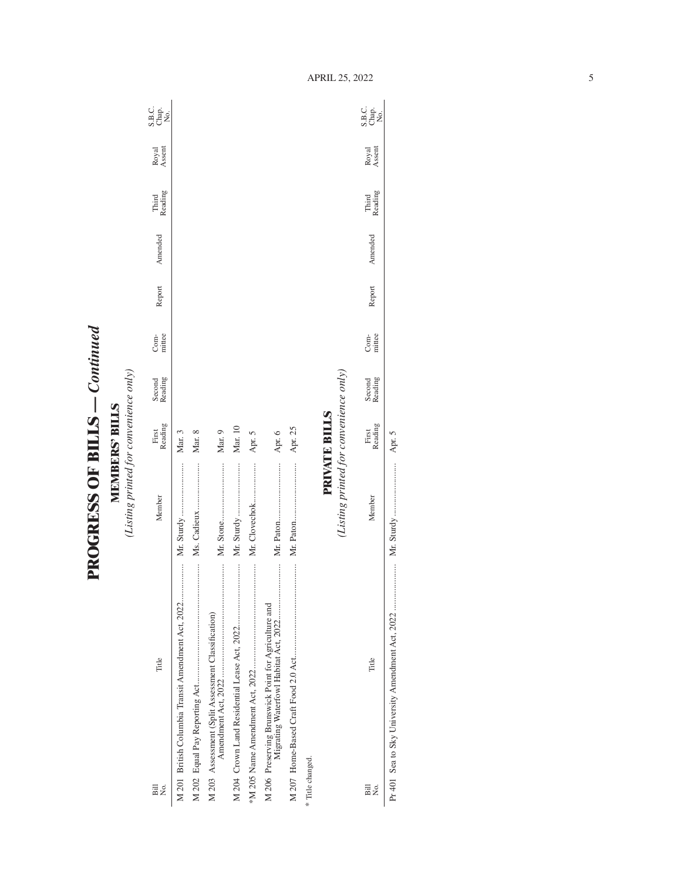**PROGRESS OF BILLS - Continued PROGRESS OF BILLS** *— Continued*

**MEMBERS' BILLS**<br>(Listing printed for convenience only) *(Listing printed for convenience only)* **MEMBERS' BILLS**

| Bill<br>Σò,                                          | Title                                              | Member                                 | First<br>Reading     | Second<br>Reading | mittee<br>Com- | Report | Amended | Reading<br>Third | Royal<br>Assent | C<br>SH <sub>O</sub><br>SH <sub>O</sub> |
|------------------------------------------------------|----------------------------------------------------|----------------------------------------|----------------------|-------------------|----------------|--------|---------|------------------|-----------------|-----------------------------------------|
|                                                      | M 201 British Columbia Transit Amendment Act, 2022 |                                        | Mar. 3               |                   |                |        |         |                  |                 |                                         |
|                                                      |                                                    |                                        | Mar. 8               |                   |                |        |         |                  |                 |                                         |
| M 203 Assessment (Split Assessment Classification)   |                                                    |                                        | Mar. 9               |                   |                |        |         |                  |                 |                                         |
|                                                      |                                                    |                                        | Mar. 10              |                   |                |        |         |                  |                 |                                         |
|                                                      |                                                    | Mr. Clovechok                          | Apr. 5               |                   |                |        |         |                  |                 |                                         |
| M 206 Preserving Brunswick Point for Agriculture and |                                                    |                                        | Apr. 6               |                   |                |        |         |                  |                 |                                         |
|                                                      |                                                    |                                        | Apr. 25              |                   |                |        |         |                  |                 |                                         |
| * Title changed.                                     |                                                    |                                        |                      |                   |                |        |         |                  |                 |                                         |
|                                                      |                                                    | (Listing printed for convenience only) | <b>PRIVATE BILLS</b> |                   |                |        |         |                  |                 |                                         |
| äill<br>Σ⊝                                           | Title                                              | Member                                 | First<br>Reading     | Second<br>Reading | mittee<br>Com- | Report | Amended | Third<br>Reading | Royal<br>Assent | ci<br>Seja<br>S                         |
|                                                      |                                                    |                                        |                      |                   |                |        |         |                  |                 |                                         |

Pr 401 Sea to Sky University Amendment Act, 2022 ..................... Mr. Sturdy ........................ Apr. 5